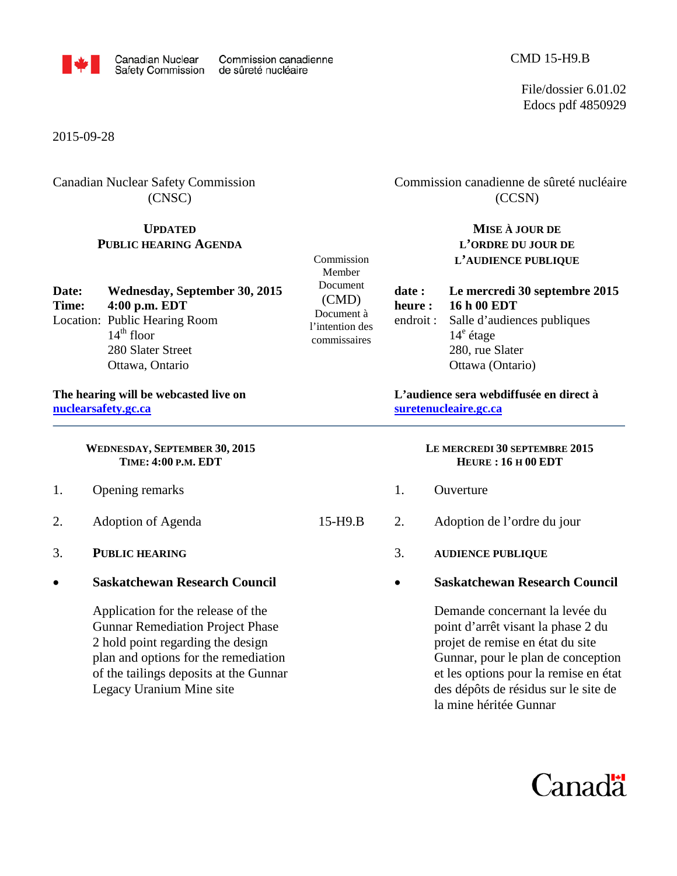

File/dossier 6.01.02 Edocs pdf 4850929

2015-09-28

Canadian Nuclear Safety Commission (CNSC)

# **UPDATED PUBLIC HEARING AGENDA**

| Date: | Wednesday, September 30, 2015                 | Document                  |
|-------|-----------------------------------------------|---------------------------|
| Time: | $4:00$ p.m. EDT                               | (CMD)                     |
|       | Location: Public Hearing Room<br>$14th$ floor | Document<br>l'intention d |
|       | 280 Slater Street                             | commissaire               |
|       | Ottawa, Ontario                               |                           |

#### **The hearing will be webcasted live on [nuclearsafety.gc.ca](http://www.nuclearsafety.gc.ca/)**

 **WEDNESDAY, SEPTEMBER 30, <sup>2015</sup> TIME: 4:00 P.M. EDT**

- 1. Opening remarks
- 2. Adoption of Agenda 15-H9.B
- 3. **PUBLIC HEARING**
- **Saskatchewan Research Council**

Application for the release of the Gunnar Remediation Project Phase 2 hold point regarding the design plan and options for the remediation of the tailings deposits at the Gunnar Legacy Uranium Mine site

Commission canadienne de sûreté nucléaire (CCSN)

# **MISE À JOUR DE L'ORDRE DU JOUR DE L'AUDIENCE PUBLIQUE**

Document à l'intention des commissaires

Commission Member

### **date : Le mercredi 30 septembre 2015 heure : 16 h 00 EDT** endroit : Salle d'audiences publiques  $14<sup>e</sup>$  étage 280, rue Slater Ottawa (Ontario)

**L'audience sera webdiffusée en direct à [suretenucleaire.gc.ca](http://www.suretenucleaire.gc.ca/)**

#### **LE MERCREDI 30 SEPTEMBRE 2015 HEURE : 16 H 00 EDT**

- 1. Ouverture
- 2. Adoption de l'ordre du jour
	- 3. **AUDIENCE PUBLIQUE**
		- **Saskatchewan Research Council**

Demande concernant la levée du point d'arrêt visant la phase 2 du projet de remise en état du site Gunnar, pour le plan de conception et les options pour la remise en état des dépôts de résidus sur le site de la mine héritée Gunnar